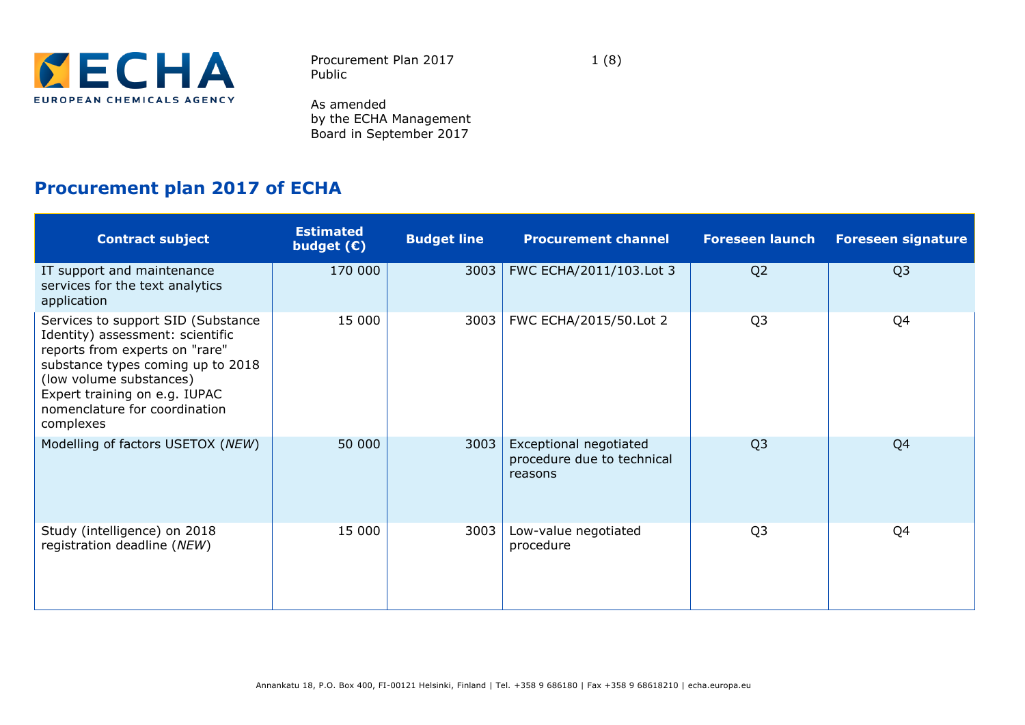

Procurement Plan 2017 1 (8) Public

As amended by the ECHA Management Board in September 2017

## **Procurement plan 2017 of ECHA**

| <b>Contract subject</b>                                                                                                                                                                                                                                 | <b>Estimated</b><br>budget $(E)$ | <b>Budget line</b> | <b>Procurement channel</b>                                      | <b>Foreseen launch</b> | <b>Foreseen signature</b> |
|---------------------------------------------------------------------------------------------------------------------------------------------------------------------------------------------------------------------------------------------------------|----------------------------------|--------------------|-----------------------------------------------------------------|------------------------|---------------------------|
| IT support and maintenance<br>services for the text analytics<br>application                                                                                                                                                                            | 170 000                          | 3003               | FWC ECHA/2011/103.Lot 3                                         | Q <sub>2</sub>         | Q <sub>3</sub>            |
| Services to support SID (Substance<br>Identity) assessment: scientific<br>reports from experts on "rare"<br>substance types coming up to 2018<br>(low volume substances)<br>Expert training on e.g. IUPAC<br>nomenclature for coordination<br>complexes | 15 000                           | 3003               | FWC ECHA/2015/50.Lot 2                                          | Q <sub>3</sub>         | Q4                        |
| Modelling of factors USETOX (NEW)                                                                                                                                                                                                                       | 50 000                           | 3003               | Exceptional negotiated<br>procedure due to technical<br>reasons | Q <sub>3</sub>         | Q <sub>4</sub>            |
| Study (intelligence) on 2018<br>registration deadline (NEW)                                                                                                                                                                                             | 15 000                           | 3003               | Low-value negotiated<br>procedure                               | Q <sub>3</sub>         | Q4                        |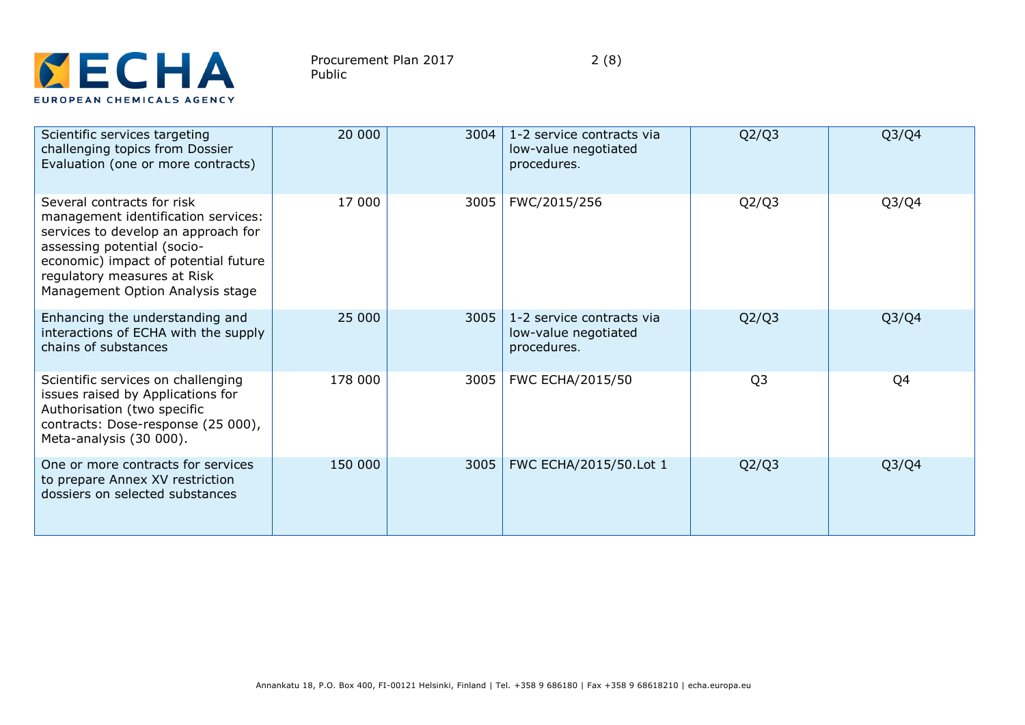

| Scientific services targeting<br>challenging topics from Dossier<br>Evaluation (one or more contracts)                                                                                                                                             | 20 000  | 3004 | 1-2 service contracts via<br>low-value negotiated<br>procedures. | Q2/Q3          | Q3/Q4                          |
|----------------------------------------------------------------------------------------------------------------------------------------------------------------------------------------------------------------------------------------------------|---------|------|------------------------------------------------------------------|----------------|--------------------------------|
| Several contracts for risk<br>management identification services:<br>services to develop an approach for<br>assessing potential (socio-<br>economic) impact of potential future<br>regulatory measures at Risk<br>Management Option Analysis stage | 17 000  | 3005 | FWC/2015/256                                                     | Q2/Q3          | Q <sub>3</sub> /Q <sub>4</sub> |
| Enhancing the understanding and<br>interactions of ECHA with the supply<br>chains of substances                                                                                                                                                    | 25 000  | 3005 | 1-2 service contracts via<br>low-value negotiated<br>procedures. | Q2/Q3          | Q <sub>3</sub> /Q <sub>4</sub> |
| Scientific services on challenging<br>issues raised by Applications for<br>Authorisation (two specific<br>contracts: Dose-response (25 000),<br>Meta-analysis (30 000).                                                                            | 178 000 | 3005 | FWC ECHA/2015/50                                                 | Q <sub>3</sub> | Q4                             |
| One or more contracts for services<br>to prepare Annex XV restriction<br>dossiers on selected substances                                                                                                                                           | 150 000 | 3005 | FWC ECHA/2015/50.Lot 1                                           | Q2/Q3          | Q <sub>3</sub> /Q <sub>4</sub> |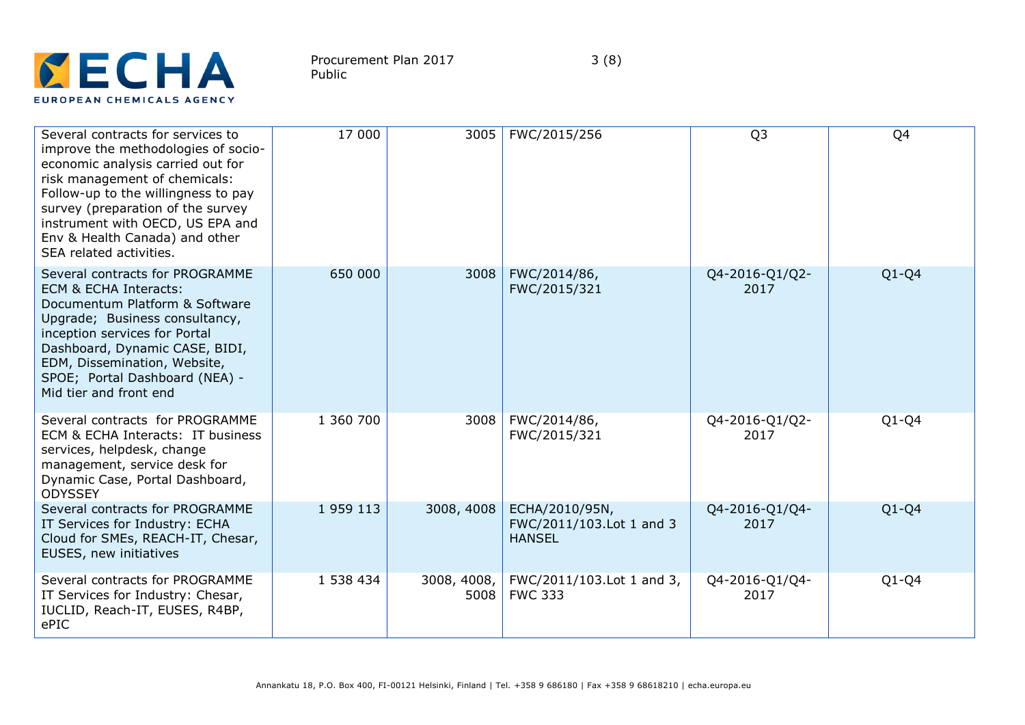

| Several contracts for services to<br>improve the methodologies of socio-<br>economic analysis carried out for<br>risk management of chemicals:<br>Follow-up to the willingness to pay<br>survey (preparation of the survey<br>instrument with OECD, US EPA and<br>Env & Health Canada) and other<br>SEA related activities. | 17 000    | 3005                | FWC/2015/256                                                | Q <sub>3</sub>         | Q4      |
|-----------------------------------------------------------------------------------------------------------------------------------------------------------------------------------------------------------------------------------------------------------------------------------------------------------------------------|-----------|---------------------|-------------------------------------------------------------|------------------------|---------|
| Several contracts for PROGRAMME<br>ECM & ECHA Interacts:<br>Documentum Platform & Software<br>Upgrade; Business consultancy,<br>inception services for Portal<br>Dashboard, Dynamic CASE, BIDI,<br>EDM, Dissemination, Website,<br>SPOE; Portal Dashboard (NEA) -<br>Mid tier and front end                                 | 650 000   | 3008                | FWC/2014/86,<br>FWC/2015/321                                | Q4-2016-Q1/Q2-<br>2017 | $Q1-Q4$ |
| Several contracts for PROGRAMME<br>ECM & ECHA Interacts: IT business<br>services, helpdesk, change<br>management, service desk for<br>Dynamic Case, Portal Dashboard,<br><b>ODYSSEY</b>                                                                                                                                     | 1 360 700 | 3008                | FWC/2014/86,<br>FWC/2015/321                                | Q4-2016-Q1/Q2-<br>2017 | $Q1-Q4$ |
| Several contracts for PROGRAMME<br>IT Services for Industry: ECHA<br>Cloud for SMEs, REACH-IT, Chesar,<br>EUSES, new initiatives                                                                                                                                                                                            | 1959113   | 3008, 4008          | ECHA/2010/95N,<br>FWC/2011/103.Lot 1 and 3<br><b>HANSEL</b> | Q4-2016-Q1/Q4-<br>2017 | $Q1-Q4$ |
| Several contracts for PROGRAMME<br>IT Services for Industry: Chesar,<br>IUCLID, Reach-IT, EUSES, R4BP,<br>ePIC                                                                                                                                                                                                              | 1 538 434 | 3008, 4008,<br>5008 | FWC/2011/103.Lot 1 and 3,<br><b>FWC 333</b>                 | Q4-2016-Q1/Q4-<br>2017 | $Q1-Q4$ |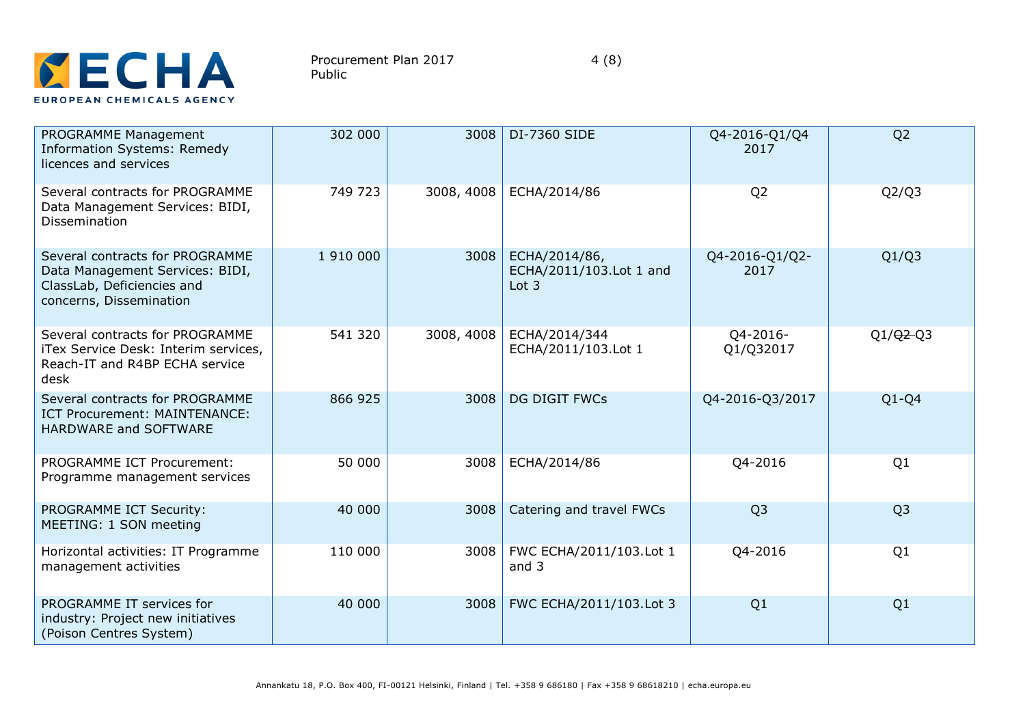

| PROGRAMME Management<br><b>Information Systems: Remedy</b><br>licences and services                                         | 302 000   | 3008       | DI-7360 SIDE                                        | Q4-2016-Q1/Q4<br>2017  | Q <sub>2</sub> |
|-----------------------------------------------------------------------------------------------------------------------------|-----------|------------|-----------------------------------------------------|------------------------|----------------|
| Several contracts for PROGRAMME<br>Data Management Services: BIDI,<br><b>Dissemination</b>                                  | 749 723   | 3008, 4008 | ECHA/2014/86                                        | Q <sub>2</sub>         | Q2/Q3          |
| Several contracts for PROGRAMME<br>Data Management Services: BIDI,<br>ClassLab, Deficiencies and<br>concerns, Dissemination | 1 910 000 | 3008       | ECHA/2014/86,<br>ECHA/2011/103.Lot 1 and<br>Lot $3$ | Q4-2016-Q1/Q2-<br>2017 | Q1/Q3          |
| Several contracts for PROGRAMME<br>iTex Service Desk: Interim services,<br>Reach-IT and R4BP ECHA service<br>desk           | 541 320   | 3008, 4008 | ECHA/2014/344<br>ECHA/2011/103.Lot 1                | Q4-2016-<br>Q1/Q32017  | $Q1/Q2-Q3$     |
| Several contracts for PROGRAMME<br>ICT Procurement: MAINTENANCE:<br>HARDWARE and SOFTWARE                                   | 866 925   | 3008       | <b>DG DIGIT FWCs</b>                                | Q4-2016-Q3/2017        | $Q1-Q4$        |
| <b>PROGRAMME ICT Procurement:</b><br>Programme management services                                                          | 50 000    | 3008       | ECHA/2014/86                                        | Q4-2016                | Q1             |
| PROGRAMME ICT Security:<br>MEETING: 1 SON meeting                                                                           | 40 000    | 3008       | Catering and travel FWCs                            | Q <sub>3</sub>         | Q <sub>3</sub> |
| Horizontal activities: IT Programme<br>management activities                                                                | 110 000   | 3008       | FWC ECHA/2011/103.Lot 1<br>and 3                    | Q4-2016                | Q1             |
| PROGRAMME IT services for<br>industry: Project new initiatives<br>(Poison Centres System)                                   | 40 000    | 3008       | FWC ECHA/2011/103.Lot 3                             | Q1                     | Q1             |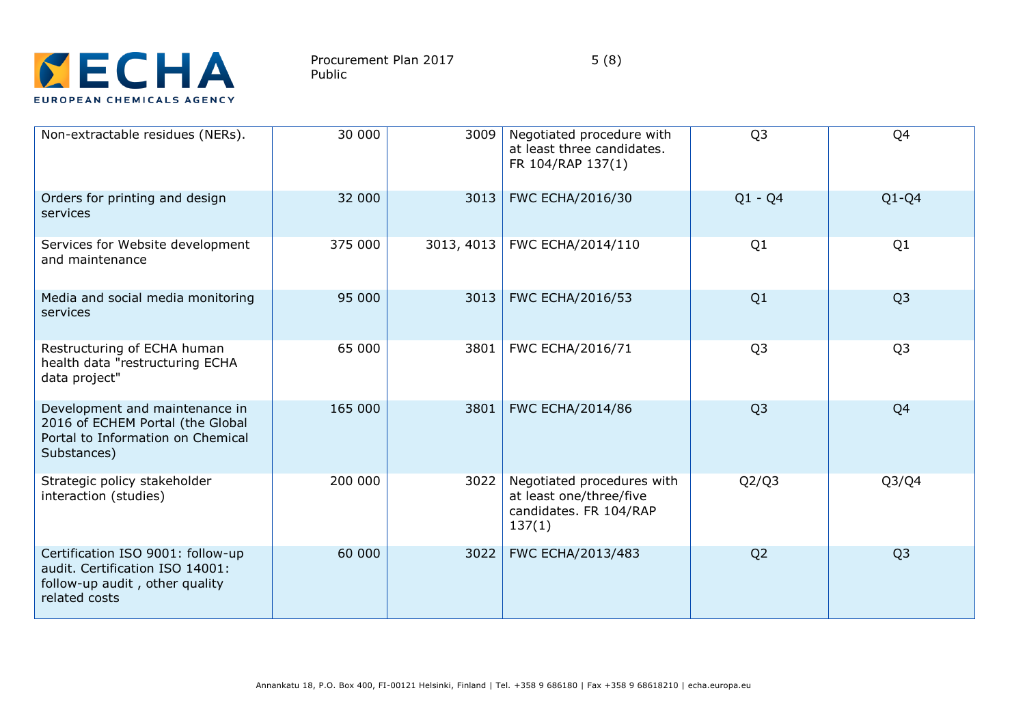

| Non-extractable residues (NERs).                                                                                        | 30 000  | 3009       | Negotiated procedure with<br>at least three candidates.<br>FR 104/RAP 137(1)              | Q <sub>3</sub> | Q4             |
|-------------------------------------------------------------------------------------------------------------------------|---------|------------|-------------------------------------------------------------------------------------------|----------------|----------------|
| Orders for printing and design<br>services                                                                              | 32 000  | 3013       | FWC ECHA/2016/30                                                                          | $Q1 - Q4$      | $Q1-Q4$        |
| Services for Website development<br>and maintenance                                                                     | 375 000 | 3013, 4013 | FWC ECHA/2014/110                                                                         | Q1             | Q1             |
| Media and social media monitoring<br>services                                                                           | 95 000  | 3013       | <b>FWC ECHA/2016/53</b>                                                                   | Q1             | Q <sub>3</sub> |
| Restructuring of ECHA human<br>health data "restructuring ECHA<br>data project"                                         | 65 000  | 3801       | FWC ECHA/2016/71                                                                          | Q <sub>3</sub> | Q <sub>3</sub> |
| Development and maintenance in<br>2016 of ECHEM Portal (the Global<br>Portal to Information on Chemical<br>Substances)  | 165 000 | 3801       | <b>FWC ECHA/2014/86</b>                                                                   | Q <sub>3</sub> | Q4             |
| Strategic policy stakeholder<br>interaction (studies)                                                                   | 200 000 | 3022       | Negotiated procedures with<br>at least one/three/five<br>candidates. FR 104/RAP<br>137(1) | Q2/Q3          | Q3/Q4          |
| Certification ISO 9001: follow-up<br>audit. Certification ISO 14001:<br>follow-up audit, other quality<br>related costs | 60 000  | 3022       | FWC ECHA/2013/483                                                                         | Q <sub>2</sub> | Q <sub>3</sub> |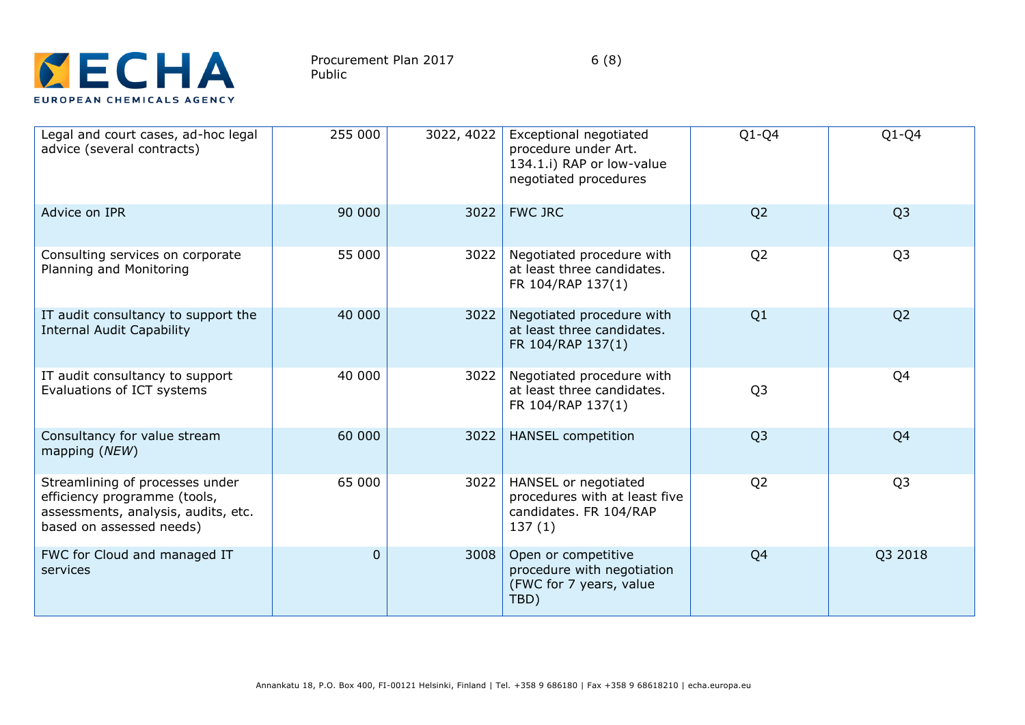

| Legal and court cases, ad-hoc legal<br>advice (several contracts)                                                                  | 255 000  | 3022, 4022 | Exceptional negotiated<br>procedure under Art.<br>134.1.i) RAP or low-value<br>negotiated procedures | $Q1-Q4$        | $Q1-Q4$        |
|------------------------------------------------------------------------------------------------------------------------------------|----------|------------|------------------------------------------------------------------------------------------------------|----------------|----------------|
| Advice on IPR                                                                                                                      | 90 000   | 3022       | <b>FWC JRC</b>                                                                                       | Q <sub>2</sub> | Q <sub>3</sub> |
| Consulting services on corporate<br>Planning and Monitoring                                                                        | 55 000   | 3022       | Negotiated procedure with<br>at least three candidates.<br>FR 104/RAP 137(1)                         | Q <sub>2</sub> | Q <sub>3</sub> |
| IT audit consultancy to support the<br><b>Internal Audit Capability</b>                                                            | 40 000   | 3022       | Negotiated procedure with<br>at least three candidates.<br>FR 104/RAP 137(1)                         | Q1             | Q <sub>2</sub> |
| IT audit consultancy to support<br>Evaluations of ICT systems                                                                      | 40 000   | 3022       | Negotiated procedure with<br>at least three candidates.<br>FR 104/RAP 137(1)                         | Q <sub>3</sub> | Q <sub>4</sub> |
| Consultancy for value stream<br>mapping (NEW)                                                                                      | 60 000   | 3022       | <b>HANSEL</b> competition                                                                            | Q <sub>3</sub> | Q <sub>4</sub> |
| Streamlining of processes under<br>efficiency programme (tools,<br>assessments, analysis, audits, etc.<br>based on assessed needs) | 65 000   | 3022       | HANSEL or negotiated<br>procedures with at least five<br>candidates. FR 104/RAP<br>137(1)            | Q <sub>2</sub> | Q <sub>3</sub> |
| FWC for Cloud and managed IT<br>services                                                                                           | $\Omega$ | 3008       | Open or competitive<br>procedure with negotiation<br>(FWC for 7 years, value<br>TBD)                 | Q4             | Q3 2018        |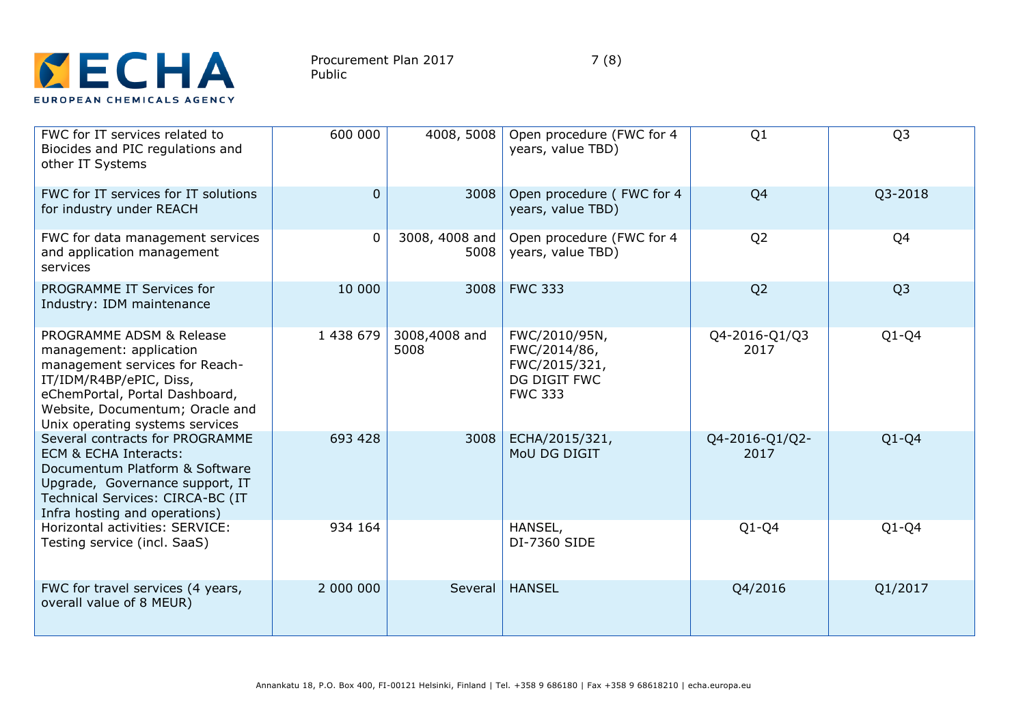

| FWC for IT services related to<br>Biocides and PIC regulations and<br>other IT Systems                                                                                                                                   | 600 000     | 4008, 5008             | Open procedure (FWC for 4<br>years, value TBD)                                   | Q1                     | Q <sub>3</sub> |
|--------------------------------------------------------------------------------------------------------------------------------------------------------------------------------------------------------------------------|-------------|------------------------|----------------------------------------------------------------------------------|------------------------|----------------|
| FWC for IT services for IT solutions<br>for industry under REACH                                                                                                                                                         | $\mathbf 0$ | 3008                   | Open procedure (FWC for 4<br>years, value TBD)                                   | Q <sub>4</sub>         | Q3-2018        |
| FWC for data management services<br>and application management<br>services                                                                                                                                               | $\mathbf 0$ | 3008, 4008 and<br>5008 | Open procedure (FWC for 4<br>years, value TBD)                                   | Q <sub>2</sub>         | Q4             |
| PROGRAMME IT Services for<br>Industry: IDM maintenance                                                                                                                                                                   | 10 000      | 3008                   | <b>FWC 333</b>                                                                   | Q <sub>2</sub>         | Q <sub>3</sub> |
| PROGRAMME ADSM & Release<br>management: application<br>management services for Reach-<br>IT/IDM/R4BP/ePIC, Diss,<br>eChemPortal, Portal Dashboard,<br>Website, Documentum; Oracle and<br>Unix operating systems services | 1 438 679   | 3008,4008 and<br>5008  | FWC/2010/95N,<br>FWC/2014/86,<br>FWC/2015/321,<br>DG DIGIT FWC<br><b>FWC 333</b> | Q4-2016-Q1/Q3<br>2017  | $Q1-Q4$        |
| Several contracts for PROGRAMME<br>ECM & ECHA Interacts:<br>Documentum Platform & Software<br>Upgrade, Governance support, IT<br>Technical Services: CIRCA-BC (IT<br>Infra hosting and operations)                       | 693 428     | 3008                   | ECHA/2015/321,<br>MoU DG DIGIT                                                   | Q4-2016-Q1/Q2-<br>2017 | $Q1-Q4$        |
| Horizontal activities: SERVICE:<br>Testing service (incl. SaaS)                                                                                                                                                          | 934 164     |                        | HANSEL,<br><b>DI-7360 SIDE</b>                                                   | $Q1-Q4$                | $Q1-Q4$        |
| FWC for travel services (4 years,<br>overall value of 8 MEUR)                                                                                                                                                            | 2 000 000   | Several                | <b>HANSEL</b>                                                                    | Q4/2016                | Q1/2017        |